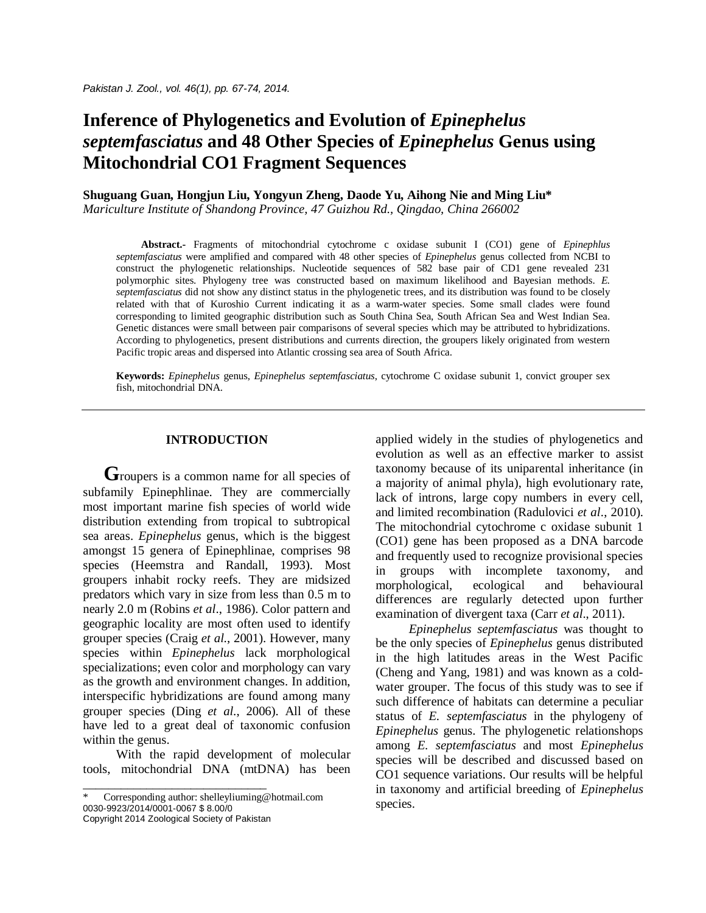# **Inference of Phylogenetics and Evolution of** *Epinephelus septemfasciatus* **and 48 Other Species of** *Epinephelus* **Genus using Mitochondrial CO1 Fragment Sequences**

**Shuguang Guan, Hongjun Liu, Yongyun Zheng, Daode Yu, Aihong Nie and Ming Liu\***

*Mariculture Institute of Shandong Province, 47 Guizhou Rd., Qingdao, China 266002*

**Abstract.-** Fragments of mitochondrial cytochrome c oxidase subunit I (CO1) gene of *Epinephlus septemfasciatus* were amplified and compared with 48 other species of *Epinephelus* genus collected from NCBI to construct the phylogenetic relationships. Nucleotide sequences of 582 base pair of CD1 gene revealed 231 polymorphic sites. Phylogeny tree was constructed based on maximum likelihood and Bayesian methods. *E. septemfasciatus* did not show any distinct status in the phylogenetic trees, and its distribution was found to be closely related with that of Kuroshio Current indicating it as a warm-water species. Some small clades were found corresponding to limited geographic distribution such as South China Sea, South African Sea and West Indian Sea. Genetic distances were small between pair comparisons of several species which may be attributed to hybridizations. According to phylogenetics, present distributions and currents direction, the groupers likely originated from western Pacific tropic areas and dispersed into Atlantic crossing sea area of South Africa.

**Keywords:** *Epinephelus* genus, *Epinephelus septemfasciatus*, cytochrome C oxidase subunit 1, convict grouper sex fish, mitochondrial DNA.

# **INTRODUCTION**

**G**roupers is a common name for all species of subfamily Epinephlinae. They are commercially most important marine fish species of world wide distribution extending from tropical to subtropical sea areas. *Epinephelus* genus, which is the biggest amongst 15 genera of Epinephlinae, comprises 98 species (Heemstra and Randall, 1993). Most groupers inhabit rocky reefs. They are midsized predators which vary in size from less than 0.5 m to nearly 2.0 m (Robins *et al*., 1986). Color pattern and geographic locality are most often used to identify grouper species (Craig *et al*., 2001). However, many species within *Epinephelus* lack morphological specializations; even color and morphology can vary as the growth and environment changes. In addition, interspecific hybridizations are found among many grouper species (Ding *et al*., 2006). All of these have led to a great deal of taxonomic confusion within the genus.

With the rapid development of molecular tools, mitochondrial DNA (mtDNA) has been

\_\_\_\_\_\_\_\_\_\_\_\_\_\_\_\_\_\_\_\_\_\_\_\_\_\_\_\_\_

applied widely in the studies of phylogenetics and evolution as well as an effective marker to assist taxonomy because of its uniparental inheritance (in a majority of animal phyla), high evolutionary rate, lack of introns, large copy numbers in every cell, and limited recombination (Radulovici *et al*., 2010). The mitochondrial cytochrome c oxidase subunit 1 (CO1) gene has been proposed as a DNA barcode and frequently used to recognize provisional species in groups with incomplete taxonomy, and morphological, ecological and behavioural differences are regularly detected upon further examination of divergent taxa (Carr *et al*., 2011).

*Epinephelus septemfasciatus* was thought to be the only species of *Epinephelus* genus distributed in the high latitudes areas in the West Pacific (Cheng and Yang, 1981) and was known as a coldwater grouper. The focus of this study was to see if such difference of habitats can determine a peculiar status of *E. septemfasciatus* in the phylogeny of *Epinephelus* genus. The phylogenetic relationshops among *E. septemfasciatus* and most *Epinephelus* species will be described and discussed based on CO1 sequence variations. Our results will be helpful in taxonomy and artificial breeding of *Epinephelus*  species.

Corresponding author: shelleyliuming@hotmail.com 0030-9923/2014/0001-0067 \$ 8.00/0 Copyright 2014 Zoological Society of Pakistan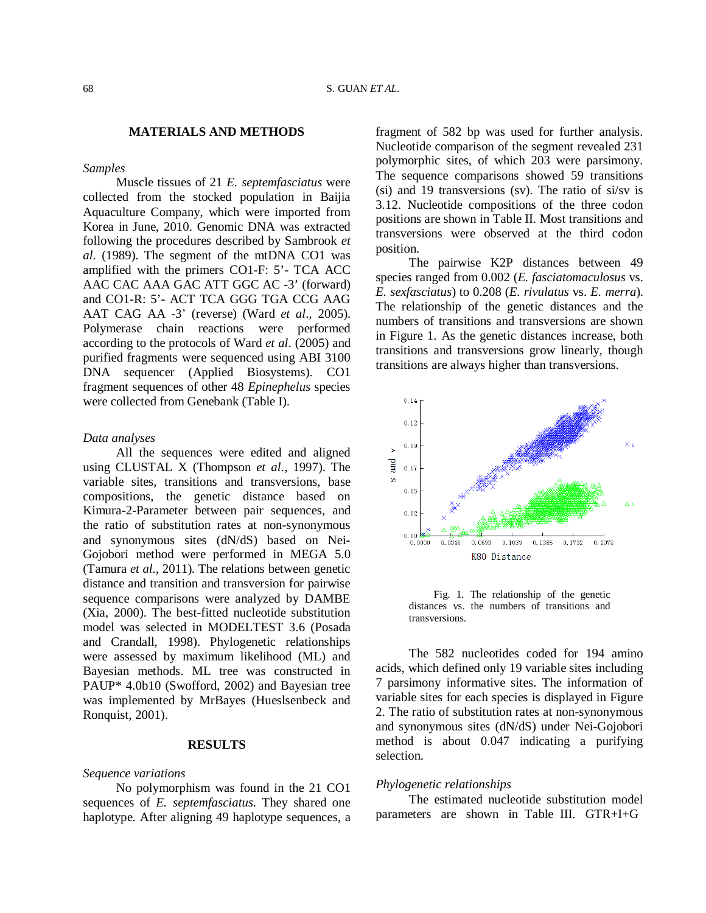# **MATERIALS AND METHODS**

## *Samples*

Muscle tissues of 21 *E. septemfasciatus* were collected from the stocked population in Baijia Aquaculture Company, which were imported from Korea in June, 2010. Genomic DNA was extracted following the procedures described by Sambrook *et al*. (1989). The segment of the mtDNA CO1 was amplified with the primers CO1-F: 5'- TCA ACC AAC CAC AAA GAC ATT GGC AC -3' (forward) and CO1-R: 5'- ACT TCA GGG TGA CCG AAG AAT CAG AA -3' (reverse) (Ward *et al*., 2005). Polymerase chain reactions were performed according to the protocols of Ward *et al*. (2005) and purified fragments were sequenced using ABI 3100 DNA sequencer (Applied Biosystems). CO1 fragment sequences of other 48 *Epinephelus* species were collected from Genebank (Table I).

## *Data analyses*

All the sequences were edited and aligned using CLUSTAL X (Thompson *et al*., 1997). The variable sites, transitions and transversions, base compositions, the genetic distance based on Kimura-2-Parameter between pair sequences, and the ratio of substitution rates at non-synonymous and synonymous sites (dN/dS) based on Nei-Gojobori method were performed in MEGA 5.0 (Tamura *et al*., 2011). The relations between genetic distance and transition and transversion for pairwise sequence comparisons were analyzed by DAMBE (Xia, 2000). The best-fitted nucleotide substitution model was selected in MODELTEST 3.6 (Posada and Crandall, 1998). Phylogenetic relationships were assessed by maximum likelihood (ML) and Bayesian methods. ML tree was constructed in PAUP\* 4.0b10 (Swofford, 2002) and Bayesian tree was implemented by MrBayes (Hueslsenbeck and Ronquist, 2001).

# **RESULTS**

# *Sequence variations*

No polymorphism was found in the 21 CO1 sequences of *E. septemfasciatus*. They shared one haplotype. After aligning 49 haplotype sequences, a fragment of 582 bp was used for further analysis. Nucleotide comparison of the segment revealed 231 polymorphic sites, of which 203 were parsimony. The sequence comparisons showed 59 transitions (si) and 19 transversions (sv). The ratio of si/sv is 3.12. Nucleotide compositions of the three codon positions are shown in Table II. Most transitions and transversions were observed at the third codon position.

The pairwise K2P distances between 49 species ranged from 0.002 (*E. fasciatomaculosus* vs. *E. sexfasciatus*) to 0.208 (*E. rivulatus* vs. *E. merra*). The relationship of the genetic distances and the numbers of transitions and transversions are shown in Figure 1. As the genetic distances increase, both transitions and transversions grow linearly, though transitions are always higher than transversions.



Fig. 1. The relationship of the genetic distances vs. the numbers of transitions and transversions.

The 582 nucleotides coded for 194 amino acids, which defined only 19 variable sites including 7 parsimony informative sites. The information of variable sites for each species is displayed in Figure 2. The ratio of substitution rates at non-synonymous and synonymous sites (dN/dS) under Nei-Gojobori method is about 0.047 indicating a purifying selection.

### *Phylogenetic relationships*

The estimated nucleotide substitution model parameters are shown in Table III. GTR+I+G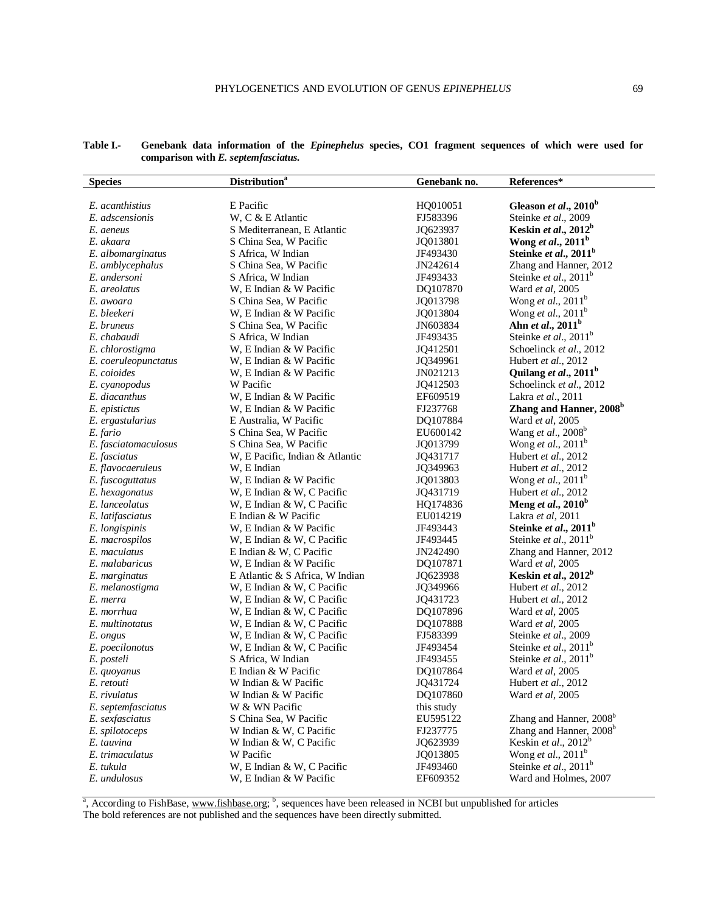| <b>Species</b>       | <b>Distribution</b> <sup>a</sup> | Genebank no. | References*                         |
|----------------------|----------------------------------|--------------|-------------------------------------|
|                      |                                  |              |                                     |
| E. acanthistius      | E Pacific                        | HQ010051     | Gleason et al., 2010 <sup>b</sup>   |
| E. adscensionis      | W, C & E Atlantic                | FJ583396     | Steinke et al., 2009                |
| E. aeneus            | S Mediterranean, E Atlantic      | JQ623937     | Keskin et al., $2012^b$             |
| E. akaara            | S China Sea, W Pacific           | JQ013801     | Wong et al., $2011^b$               |
| E. albomarginatus    | S Africa, W Indian               | JF493430     | Steinke et al., 2011 <sup>b</sup>   |
| E. amblycephalus     | S China Sea, W Pacific           | JN242614     | Zhang and Hanner, 2012              |
| E. andersoni         | S Africa, W Indian               | JF493433     | Steinke et al., $2011^b$            |
| E. areolatus         | W, E Indian & W Pacific          | DQ107870     | Ward et al, 2005                    |
| E. awoara            | S China Sea, W Pacific           | JQ013798     | Wong et al., $2011^b$               |
| E. bleekeri          | W, E Indian & W Pacific          | JQ013804     | Wong <i>et al.</i> , $2011^b$       |
| E. bruneus           | S China Sea, W Pacific           | JN603834     | Ahn et al., 2011 <sup>b</sup>       |
| E. chabaudi          | S Africa, W Indian               | JF493435     | Steinke et al., $2011^b$            |
| E. chlorostigma      | W, E Indian & W Pacific          | JQ412501     | Schoelinck et al., 2012             |
| E. coeruleopunctatus | W, E Indian & W Pacific          | JQ349961     | Hubert et al., 2012                 |
| E. coioides          | W, E Indian & W Pacific          | JN021213     | Quilang et al., 2011 <sup>b</sup>   |
| E. cyanopodus        | W Pacific                        | JQ412503     | Schoelinck et al., 2012             |
| E. diacanthus        | W, E Indian & W Pacific          | EF609519     | Lakra et al., 2011                  |
| E. epistictus        | W, E Indian & W Pacific          | FJ237768     | Zhang and Hanner, 2008 <sup>b</sup> |
| E. ergastularius     | E Australia, W Pacific           | DQ107884     | Ward et al, 2005                    |
| E. fario             | S China Sea, W Pacific           | EU600142     | Wang et al., 2008 <sup>b</sup>      |
| E. fasciatomaculosus | S China Sea, W Pacific           | JQ013799     | Wong <i>et al.</i> , $2011^b$       |
| E. fasciatus         | W, E Pacific, Indian & Atlantic  | JQ431717     | Hubert et al., 2012                 |
| E. flavocaeruleus    | W, E Indian                      | JQ349963     | Hubert et al., 2012                 |
| E. fuscoguttatus     | W, E Indian & W Pacific          | JQ013803     | Wong <i>et al.</i> , $2011^b$       |
| E. hexagonatus       | W, E Indian & W, C Pacific       | JQ431719     | Hubert et al., 2012                 |
| E. lanceolatus       | W, E Indian & W, C Pacific       | HQ174836     | Meng et al., $2010^b$               |
| E. latifasciatus     | E Indian & W Pacific             | EU014219     | Lakra et al, 2011                   |
| E. longispinis       | W, E Indian & W Pacific          | JF493443     | Steinke et al., $2011b$             |
| E. macrospilos       | W, E Indian & W, C Pacific       | JF493445     | Steinke et al., $2011^b$            |
| E. maculatus         | E Indian & W, C Pacific          | JN242490     | Zhang and Hanner, 2012              |
| E. malabaricus       | W, E Indian & W Pacific          | DQ107871     | Ward et al, 2005                    |
| E. marginatus        | E Atlantic & S Africa, W Indian  | JQ623938     | Keskin et al., $2012^b$             |
| E. melanostigma      | W, E Indian & W, C Pacific       | JQ349966     | Hubert et al., 2012                 |
| E. merra             | W, E Indian & W, C Pacific       | JQ431723     | Hubert et al., 2012                 |
| E. morrhua           | W, E Indian & W, C Pacific       | DQ107896     | Ward et al, 2005                    |
| E. multinotatus      | W, E Indian & W, C Pacific       | DQ107888     | Ward <i>et al</i> , 2005            |
| E. ongus             | W, E Indian & W, C Pacific       | FJ583399     | Steinke et al., 2009                |
| E. poecilonotus      | W, E Indian & W, C Pacific       | JF493454     | Steinke et al., $2011^b$            |
| E. posteli           | S Africa, W Indian               | JF493455     | Steinke et al., $2011^b$            |
| E. quoyanus          | E Indian & W Pacific             | DQ107864     | Ward et al, 2005                    |
| E. retouti           | W Indian & W Pacific             | JQ431724     | Hubert et al., 2012                 |
| E. rivulatus         | W Indian & W Pacific             | DQ107860     | Ward et al, 2005                    |
| E. septemfasciatus   | W & WN Pacific                   | this study   |                                     |
| E. sexfasciatus      | S China Sea, W Pacific           | EU595122     | Zhang and Hanner, 2008 <sup>b</sup> |
| E. spilotoceps       | W Indian & W, C Pacific          | FJ237775     | Zhang and Hanner, 2008 <sup>b</sup> |
| E. tauvina           | W Indian & W, C Pacific          | JQ623939     | Keskin et al., $2012^b$             |
| E. trimaculatus      | W Pacific                        | JQ013805     | Wong <i>et al.</i> , $2011^b$       |
| E. tukula            | W, E Indian & W, C Pacific       | JF493460     | Steinke et al., $2011^b$            |
| E. undulosus         | W, E Indian & W Pacific          | EF609352     | Ward and Holmes, 2007               |

## **Table I.- Genebank data information of the** *Epinephelus* **species, CO1 fragment sequences of which were used for comparison with** *E. septemfasciatus.*

<sup>a</sup>, According to FishBase, www.fishbase.org; <sup>b</sup>, sequences have been released in NCBI but unpublished for articles The bold references are not published and the sequences have been directly submitted.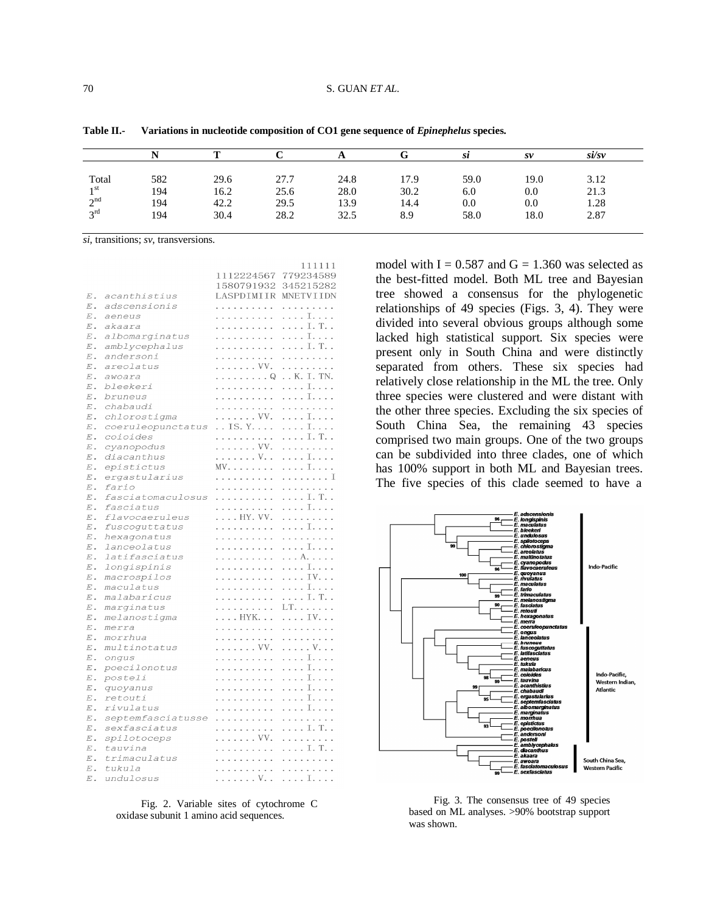|                 |     |      |      |      |      | sı   | $S\mathcal{V}$ | si/sv |
|-----------------|-----|------|------|------|------|------|----------------|-------|
| Total           | 582 | 29.6 | 27.7 | 24.8 | 17.9 | 59.0 | 19.0           | 3.12  |
| 1 <sub>st</sub> | 194 | 16.2 | 25.6 | 28.0 | 30.2 | 6.0  | 0.0            | 21.3  |
| $\gamma$ nd     | 194 | 42.2 | 29.5 | 13.9 | 14.4 | 0.0  | 0.0            | 1.28  |
| $2^{\text{rd}}$ | 194 | 30.4 | 28.2 | 32.5 | 8.9  | 58.0 | 18.0           | 2.87  |

**Table II.- Variations in nucleotide composition of CO1 gene sequence of** *Epinephelus* **species.**

111111

*si*, transitions; *sv*, transversions.

|                    |                   | 1112224567  | 779234589         |
|--------------------|-------------------|-------------|-------------------|
|                    |                   | 1580791932  | 345215282         |
| $\boldsymbol{E}$ . | acanthistius      | LASPDIMIIR  | MNETVIIDN         |
| $E$ .              | adscensionis      | .           | .                 |
| $\boldsymbol{E}$ . | aeneus            | .           | . I.              |
| $E$ .              | akaara            | .           | . I. T. .         |
| $E$ .              | albomarginatus    | .           | . I.              |
| $\boldsymbol{E}$ . | amblycephalus     | .           | . I. T. .         |
| $\boldsymbol{E}$ . | andersoni         | .           | .                 |
| $E$ .              | areolatus         | . VV.       | .                 |
| $E$ .              | awoara            | . Q         | K.I.TN.           |
| $\boldsymbol{E}$ . | bleekeri          | .           | . I.              |
| $E$ .              | bruneus           | .           | . I.              |
| $\boldsymbol{E}$ . | chabaudi          | .           | .                 |
| $E$ .              | chlorostigma      | . VV.       | . I.              |
| $\boldsymbol{E}$ . | coeruleopunctatus | . . IS. Y.  | . I.              |
| $\boldsymbol{E}$ . | coioides          | .           | . I. T. .         |
| $\boldsymbol{E}$ . | cyanopodus        | . VV.       | .                 |
| $\boldsymbol{E}$ . | diacanthus        | . V. .      | . I.              |
| $\boldsymbol{E}$ . | epistictus        | MV.         | . I.              |
| $\boldsymbol{E}$ . | ergastularius     | .           | . I               |
| $E$ .              | fario             | .           | .                 |
| $E$ .              | fasciatomaculosus | .           | . I. T. .         |
| $E$ .              | fasciatus         | .           | . I.              |
| $\boldsymbol{E}$ . | flavocaeruleus    | . HY. VV.   | .                 |
| $E$ .              | fuscoquttatus     | .           | . I.              |
| $E$ .              | hexagonatus       | .           | .                 |
| $\boldsymbol{E}$ . | lanceolatus       | .           | . I.              |
| $\boldsymbol{E}$ . | latifasciatus     | .           | . A.              |
| $\boldsymbol{E}$ . | longispinis       | .           | . I.              |
| $E$ .              | macrospilos       | .           | . IV.             |
| $\boldsymbol{E}$ . | maculatus         | .           | . I.              |
| $\boldsymbol{E}$ . | malabaricus       | .           | . I. T. .         |
| $\boldsymbol{E}$ . | marginatus        | .           | LT.               |
| $\boldsymbol{E}$ . | melanostigma      | . HYK.      | . IV.             |
| $\boldsymbol{E}$ . | merra             | .           | .                 |
| $E$ .              | morrhua           | .           | .                 |
| $E$ .              | multinotatus      | . VV.       | . V.              |
| $\boldsymbol{E}$ . | onqus             | .           | . I.              |
| $E$ .              | poecilonotus      | .           | . I.              |
| $E$ .              | posteli           | .           | . I. . <i>.</i> . |
| $E$ .              | quoyanus          | .           | . I.              |
| $\boldsymbol{E}$ . | retouti           | .           | . I.              |
| $E$ .              | rivulatus         | .           | . I.              |
| $\boldsymbol{E}$ . | septemfasciatusse | .           | .                 |
| $\boldsymbol{E}$ . | sexfasciatus      | .           | . I. T. .         |
| $E$ .              | spilotoceps       | . VV.       | .                 |
| $E$ .              | tauvina           | .           | . I. T. .         |
| $E$ .              | trimaculatus      | .           | .                 |
| $\boldsymbol{E}$ . | tukula            | .           | .                 |
| $\boldsymbol{E}$ . | undulosus         | . V. .   I. |                   |

Fig. 2. Variable sites of cytochrome C oxidase subunit 1 amino acid sequences.

model with  $I = 0.587$  and  $G = 1.360$  was selected as the best-fitted model. Both ML tree and Bayesian tree showed a consensus for the phylogenetic relationships of 49 species (Figs. 3, 4). They were divided into several obvious groups although some lacked high statistical support. Six species were present only in South China and were distinctly separated from others. These six species had relatively close relationship in the ML the tree. Only three species were clustered and were distant with the other three species. Excluding the six species of South China Sea, the remaining 43 species comprised two main groups. One of the two groups can be subdivided into three clades, one of which has 100% support in both ML and Bayesian trees. The five species of this clade seemed to have a



Fig. 3. The consensus tree of 49 species based on ML analyses. >90% bootstrap support was shown.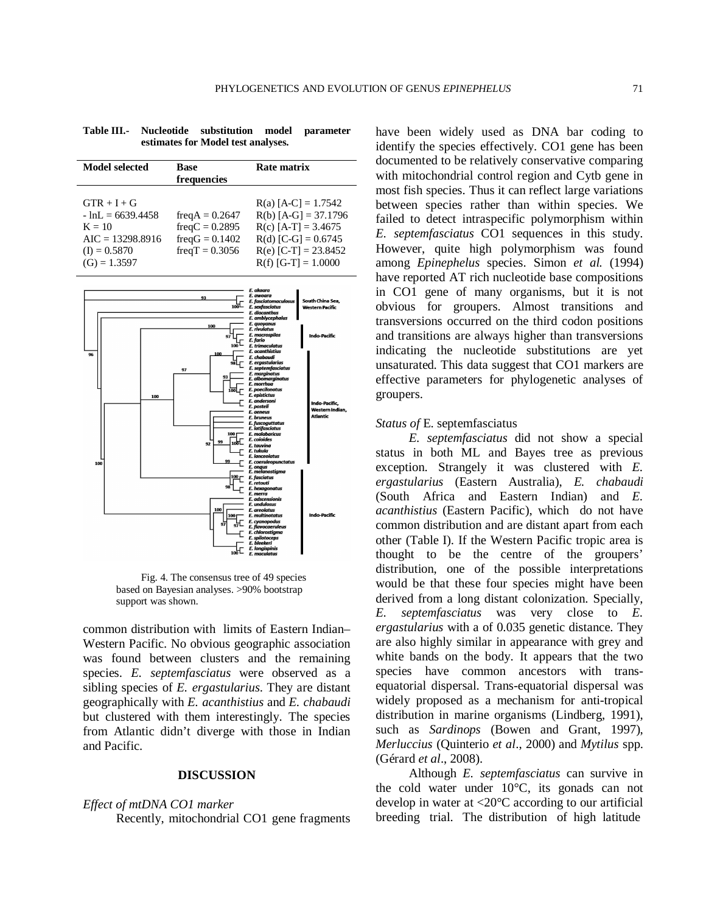| Model selected                                                                                            | <b>Base</b><br>frequencies                                                   | Rate matrix                                                                                                                                          |
|-----------------------------------------------------------------------------------------------------------|------------------------------------------------------------------------------|------------------------------------------------------------------------------------------------------------------------------------------------------|
| $GTR + I + G$<br>$-lnL = 6639.4458$<br>$K = 10$<br>$AIC = 13298.8916$<br>$(I) = 0.5870$<br>$(G) = 1.3597$ | $freqA = 0.2647$<br>$freqC = 0.2895$<br>$freqG = 0.1402$<br>$freqT = 0.3056$ | $R(a)$ [A-C] = 1.7542<br>$R(b)$ [A-G] = 37.1796<br>$R(c)$ [A-T] = 3.4675<br>$R(d)$ [C-G] = 0.6745<br>$R(e)$ [C-T] = 23.8452<br>$R(f)$ [G-T] = 1.0000 |

**Table III.- Nucleotide substitution model parameter estimates for Model test analyses.**



Fig. 4. The consensus tree of 49 species based on Bayesian analyses. >90% bootstrap support was shown.

common distribution with limits of Eastern Indian– Western Pacific. No obvious geographic association was found between clusters and the remaining species. *E. septemfasciatus* were observed as a sibling species of *E. ergastularius*. They are distant geographically with *E. acanthistius* and *E. chabaudi* but clustered with them interestingly. The species from Atlantic didn't diverge with those in Indian and Pacific.

# **DISCUSSION**

# *Effect of mtDNA CO1 marker*

Recently, mitochondrial CO1 gene fragments

have been widely used as DNA bar coding to identify the species effectively. CO1 gene has been documented to be relatively conservative comparing with mitochondrial control region and Cytb gene in most fish species. Thus it can reflect large variations between species rather than within species. We failed to detect intraspecific polymorphism within *E. septemfasciatus* CO1 sequences in this study. However, quite high polymorphism was found among *Epinephelus* species. Simon *et al.* (1994) have reported AT rich nucleotide base compositions in CO1 gene of many organisms, but it is not obvious for groupers. Almost transitions and transversions occurred on the third codon positions and transitions are always higher than transversions indicating the nucleotide substitutions are yet unsaturated. This data suggest that CO1 markers are effective parameters for phylogenetic analyses of groupers.

## *Status of* E. septemfasciatus

*E. septemfasciatus* did not show a special status in both ML and Bayes tree as previous exception. Strangely it was clustered with *E. ergastularius* (Eastern Australia), *E. chabaudi* (South Africa and Eastern Indian) and *E. acanthistius* (Eastern Pacific), which do not have common distribution and are distant apart from each other (Table I). If the Western Pacific tropic area is thought to be the centre of the groupers' distribution, one of the possible interpretations would be that these four species might have been derived from a long distant colonization. Specially, *E. septemfasciatus* was very close to *E. ergastularius* with a of 0.035 genetic distance. They are also highly similar in appearance with grey and white bands on the body. It appears that the two species have common ancestors with transequatorial dispersal. Trans-equatorial dispersal was widely proposed as a mechanism for anti-tropical distribution in marine organisms (Lindberg, 1991), such as *Sardinops* (Bowen and Grant, 1997), *Merluccius* (Quinterio *et al*., 2000) and *Mytilus* spp. (Gérard *et al*., 2008).

Although *E. septemfasciatus* can survive in the cold water under 10°C, its gonads can not develop in water at <20°C according to our artificial breeding trial. The distribution of high latitude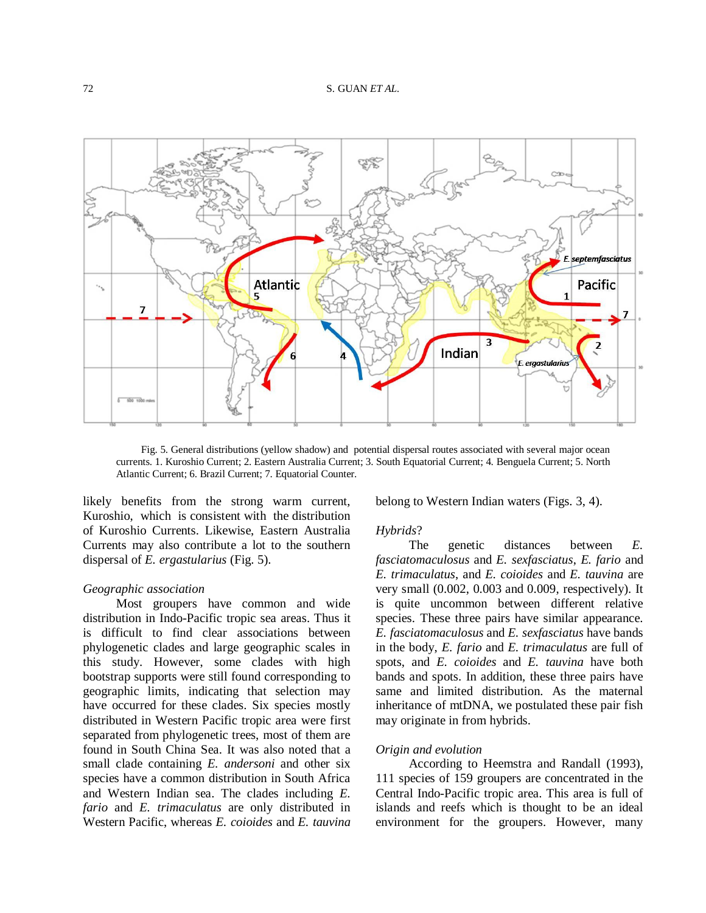

Fig. 5. General distributions (yellow shadow) and potential dispersal routes associated with several major ocean currents. 1. Kuroshio Current; 2. Eastern Australia Current; 3. South Equatorial Current; 4. Benguela Current; 5. North Atlantic Current; 6. Brazil Current; 7. Equatorial Counter.

likely benefits from the strong warm current, Kuroshio, which is consistent with the distribution of Kuroshio Currents. Likewise, Eastern Australia Currents may also contribute a lot to the southern dispersal of *E. ergastularius* (Fig. 5).

# *Geographic association*

Most groupers have common and wide distribution in Indo-Pacific tropic sea areas. Thus it is difficult to find clear associations between phylogenetic clades and large geographic scales in this study. However, some clades with high bootstrap supports were still found corresponding to geographic limits, indicating that selection may have occurred for these clades. Six species mostly distributed in Western Pacific tropic area were first separated from phylogenetic trees, most of them are found in South China Sea. It was also noted that a small clade containing *E. andersoni* and other six species have a common distribution in South Africa and Western Indian sea. The clades including *E. fario* and *E. trimaculatus* are only distributed in Western Pacific, whereas *E. coioides* and *E. tauvina*

belong to Western Indian waters (Figs. 3, 4).

#### *Hybrids*?

The genetic distances between *E. fasciatomaculosus* and *E. sexfasciatus*, *E. fario* and *E. trimaculatus*, and *E. coioides* and *E. tauvina* are very small (0.002, 0.003 and 0.009, respectively). It is quite uncommon between different relative species. These three pairs have similar appearance. *E. fasciatomaculosus* and *E. sexfasciatus* have bands in the body, *E. fario* and *E. trimaculatus* are full of spots, and *E. coioides* and *E. tauvina* have both bands and spots. In addition, these three pairs have same and limited distribution. As the maternal inheritance of mtDNA, we postulated these pair fish may originate in from hybrids.

## *Origin and evolution*

According to Heemstra and Randall (1993), 111 species of 159 groupers are concentrated in the Central Indo-Pacific tropic area. This area is full of islands and reefs which is thought to be an ideal environment for the groupers. However, many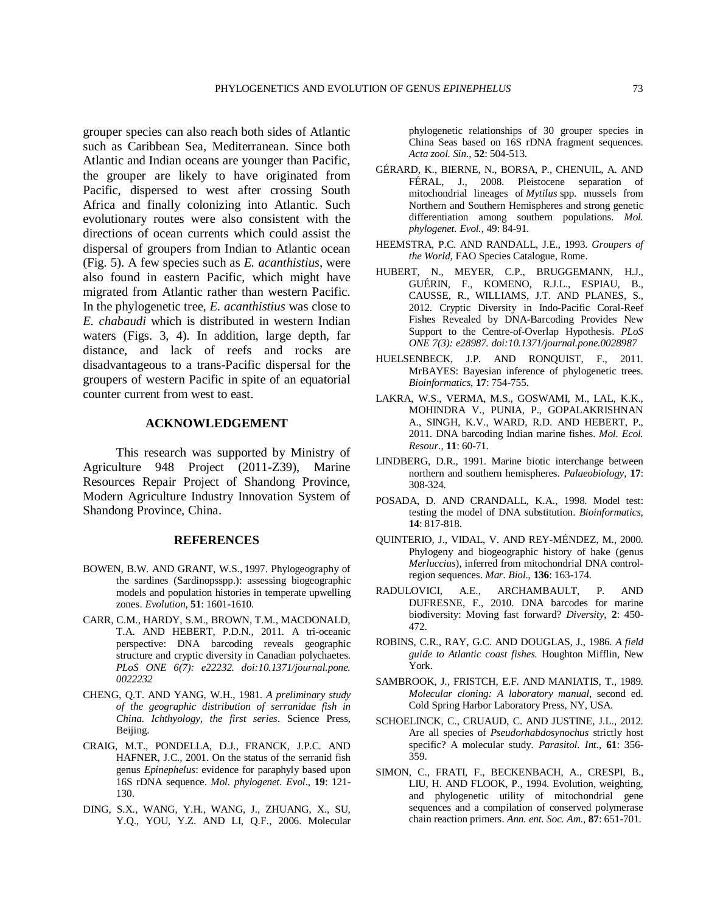grouper species can also reach both sides of Atlantic such as Caribbean Sea, Mediterranean. Since both Atlantic and Indian oceans are younger than Pacific, the grouper are likely to have originated from Pacific, dispersed to west after crossing South Africa and finally colonizing into Atlantic. Such evolutionary routes were also consistent with the directions of ocean currents which could assist the dispersal of groupers from Indian to Atlantic ocean (Fig. 5). A few species such as *E. acanthistius*, were also found in eastern Pacific, which might have migrated from Atlantic rather than western Pacific. In the phylogenetic tree, *E. acanthistius* was close to *E. chabaudi* which is distributed in western Indian waters (Figs. 3, 4). In addition, large depth, far distance, and lack of reefs and rocks are disadvantageous to a trans-Pacific dispersal for the groupers of western Pacific in spite of an equatorial counter current from west to east.

# **ACKNOWLEDGEMENT**

This research was supported by Ministry of Agriculture 948 Project (2011-Z39), Marine Resources Repair Project of Shandong Province, Modern Agriculture Industry Innovation System of Shandong Province, China.

# **REFERENCES**

- BOWEN, B.W. AND GRANT, W.S., 1997. Phylogeography of the sardines (Sardinopsspp.): assessing biogeographic models and population histories in temperate upwelling zones. *Evolution*, **51**: 1601-1610.
- CARR, C.M., HARDY, S.M., BROWN, T.M., MACDONALD, T.A. AND HEBERT, P.D.N., 2011. A tri-oceanic perspective: DNA barcoding reveals geographic structure and cryptic diversity in Canadian polychaetes. *PLoS ONE 6(7): e22232. doi:10.1371/journal.pone. 0022232*
- CHENG, Q.T. AND YANG, W.H., 1981. *A preliminary study of the geographic distribution of serranidae fish in China*. *Ichthyology, the first series*. Science Press, Beijing.
- CRAIG, M.T., PONDELLA, D.J., FRANCK, J.P.C. AND HAFNER, J.C., 2001. On the status of the serranid fish genus *Epinephelus*: evidence for paraphyly based upon 16S rDNA sequence. *Mol. phylogenet. Evol*., **19**: 121- 130.
- DING, S.X., WANG, Y.H., WANG, J., ZHUANG, X., SU, Y.Q., YOU, Y.Z. AND LI, Q.F., 2006. Molecular

phylogenetic relationships of 30 grouper species in China Seas based on 16S rDNA fragment sequences. *Acta zool. Sin.*, **52**: 504-513.

- GÉRARD, K., BIERNE, N., BORSA, P., CHENUIL, A. AND FÉRAL, J., 2008. Pleistocene separation of mitochondrial lineages of *Mytilus* spp. mussels from Northern and Southern Hemispheres and strong genetic differentiation among southern populations. *Mol. phylogenet. Evol.*, 49: 84-91.
- HEEMSTRA, P.C. AND RANDALL, J.E., 1993. *Groupers of the World,* FAO Species Catalogue, Rome.
- HUBERT, N., MEYER, C.P., BRUGGEMANN, H.J., GUÉRIN, F., KOMENO, R.J.L., ESPIAU, B., CAUSSE, R., WILLIAMS, J.T. AND PLANES, S., 2012. Cryptic Diversity in Indo-Pacific Coral-Reef Fishes Revealed by DNA-Barcoding Provides New Support to the Centre-of-Overlap Hypothesis. *PLoS ONE 7(3): e28987. doi:10.1371/journal.pone.0028987*
- HUELSENBECK, J.P. AND RONQUIST, F., 2011. MrBAYES: Bayesian inference of phylogenetic trees. *Bioinformatics*, **17**: 754-755.
- LAKRA, W.S., VERMA, M.S., GOSWAMI, M., LAL, K.K., MOHINDRA V., PUNIA, P., GOPALAKRISHNAN A., SINGH, K.V., WARD, R.D. AND HEBERT, P., 2011. DNA barcoding Indian marine fishes. *Mol. Ecol. Resour.*, **11**: 60-71.
- LINDBERG, D.R., 1991. Marine biotic interchange between northern and southern hemispheres. *Palaeobiology*, **17**: 308-324.
- POSADA, D. AND CRANDALL, K.A., 1998. Model test: testing the model of DNA substitution. *Bioinformatics*, **14**: 817-818.
- QUINTERIO, J., VIDAL, V. AND REY-MÉNDEZ, M., 2000. Phylogeny and biogeographic history of hake (genus *Merluccius*), inferred from mitochondrial DNA controlregion sequences. *Mar. Biol*., **136**: 163-174.
- RADULOVICI, A.E., ARCHAMBAULT, P. AND DUFRESNE, F., 2010. DNA barcodes for marine biodiversity: Moving fast forward? *Diversity*, **2**: 450- 472.
- ROBINS, C.R., RAY, G.C. AND DOUGLAS, J., 1986. *A field guide to Atlantic coast fishes.* Houghton Mifflin, New York.
- SAMBROOK, J., FRISTCH, E.F. AND MANIATIS, T., 1989. *Molecular cloning: A laboratory manual*, second ed. Cold Spring Harbor Laboratory Press, NY, USA.
- SCHOELINCK, C., CRUAUD, C. AND JUSTINE, J.L., 2012. Are all species of *Pseudorhabdosynochus* strictly host specific? A molecular study. *Parasitol. Int*., **61**: 356- 359.
- SIMON, C., FRATI, F., BECKENBACH, A., CRESPI, B., LIU, H. AND FLOOK, P., 1994. Evolution, weighting, and phylogenetic utility of mitochondrial gene sequences and a compilation of conserved polymerase chain reaction primers. *Ann. ent. Soc. Am.*, **87**: 651-701.